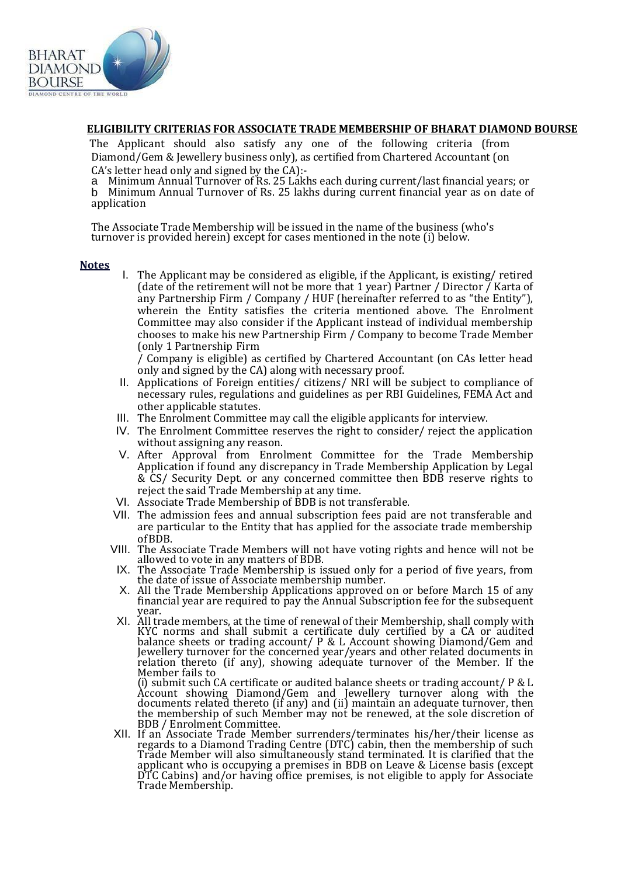

#### **ELIGIBILITY CRITERIAS FOR ASSOCIATE TRADE MEMBERSHIP OF BHARAT DIAMOND BOURSE**

The Applicant should also satisfy any one of the following criteria (from Diamond/Gem & Jewellery business only), as certified from Chartered Accountant (on CA's letter head only and signed by the CA):-

a Minimum Annual Turnover of Rs. 25 Lakhs each during current/last financial years; or

b Minimum Annual Turnover of Rs. 25 lakhs during current financial year as on date of application

The Associate Trade Membership will be issued in the name of the business (who's turnover is provided herein) except for cases mentioned in the note (i) below.

#### **Notes**

I. The Applicant may be considered as eligible, if the Applicant, is existing/ retired (date of the retirement will not be more that 1 year) Partner / Director  $\tilde{I}$  Karta of any Partnership Firm / Company / HUF (hereinafter referred to as "the Entity"), wherein the Entity satisfies the criteria mentioned above. The Enrolment Committee may also consider if the Applicant instead of individual membership chooses to make his new Partnership Firm / Company to become Trade Member (only 1 Partnership Firm

/ Company is eligible) as certified by Chartered Accountant (on CAs letter head only and signed by the CA) along with necessary proof.

- II. Applications of Foreign entities/ citizens/ NRI will be subject to compliance of necessary rules, regulations and guidelines as per RBI Guidelines, FEMA Act and other applicable statutes.
- III. The Enrolment Committee may call the eligible applicants for interview.
- IV. The Enrolment Committee reserves the right to consider/ reject the application without assigning any reason.
- V. After Approval from Enrolment Committee for the Trade Membership Application if found any discrepancy in Trade Membership Application by Legal & CS/ Security Dept. or any concerned committee then BDB reserve rights to reject the said Trade Membership at any time.
- VI. Associate Trade Membership of BDB is not transferable.
- VII. The admission fees and annual subscription fees paid are not transferable and are particular to the Entity that has applied for the associate trade membership ofBDB.
- VIII. The Associate Trade Members will not have voting rights and hence will not be allowed to vote in any matters of BDB.
- IX. The Associate Trade Membership is issued only for a period of five years, from the date of issue of Associate membership number.
- X. All the Trade Membership Applications approved on or before March 15 of any financial year are required to pay the Annual Subscription fee for the subsequent year.
- XI. All trade members, at the time of renewal of their Membership, shall comply with KYC norms and shall submit a certificate duly certified by a CA or audited balance sheets or trading account/ P & L Account showing Diamond/Gem and Jewellery turnover for the concerned year/years and other related documents in relation thereto (if any), showing adequate turnover of the Member. If the Member fails to

(i) submit such CA certificate or audited balance sheets or trading account/ P & L Account showing Diamond/Gem and Jewellery turnover along with the documents related thereto (if any) and (ii) maintain an adequate turnover, then the membership of such Member may not be renewed, at the sole discretion of BDB / Enrolment Committee.

XII. If an Associate Trade Member surrenders/terminates his/her/their license as regards to a Diamond Trading Centre (DTC) cabin, then the membership of such Trade Member will also simultaneously stand terminated. It is clarified that the applicant who is occupying a premises in BDB on Leave & License basis (except DTC Cabins) and/or having office premises, is not eligible to apply for Associate Trade Membership.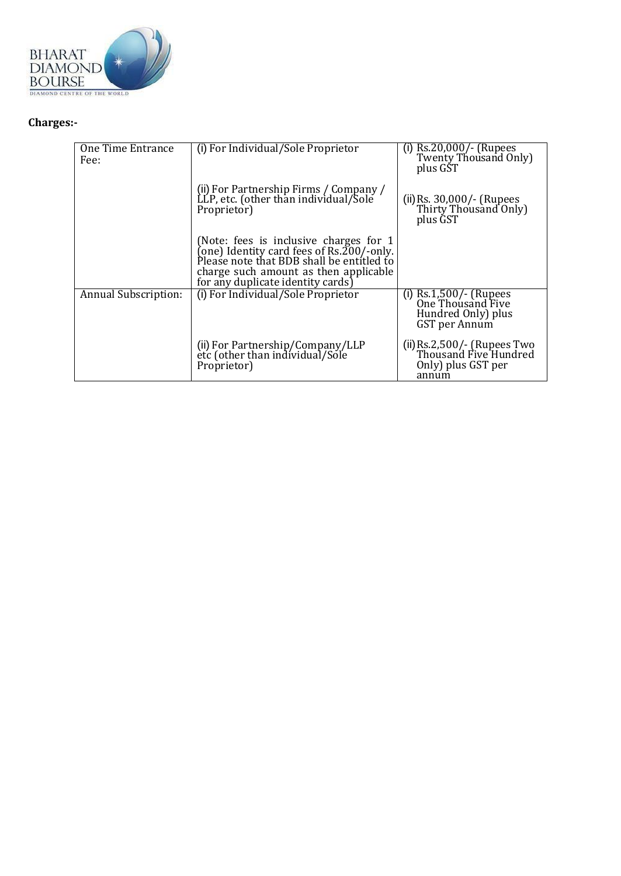

# **Charges:-**

| One Time Entrance<br>Fee: | (i) For Individual/Sole Proprietor                                                                                                                                                                                       | (i) $\text{Rs.20,000}/\text{-}$ (Rupees<br>Twenty Thousand Only)<br>plus GST          |
|---------------------------|--------------------------------------------------------------------------------------------------------------------------------------------------------------------------------------------------------------------------|---------------------------------------------------------------------------------------|
|                           | (ii) For Partnership Firms / Company /<br>LLP, etc. (other than individual/Sole<br>Proprietor)                                                                                                                           | (ii) Rs. 30,000/- (Rupees<br>Thirty Thousand Only)<br>plus GST                        |
|                           | (Note: fees is inclusive charges for 1<br>(one) Identity card fees of $\text{Rs.}200$ /-only.<br>Please note that BDB shall be entitled to<br>charge such amount as then applicable<br>for any duplicate identity cards) |                                                                                       |
| Annual Subscription:      | (i) For Individual/Sole Proprietor                                                                                                                                                                                       | (i) $Rs.1,500/$ - (Rupees<br>One Thousand Five<br>Hundred Only) plus<br>GST per Annum |
|                           | (ii) For Partnership/Company/LLP<br>etc (other than individual/Sole<br>Proprietor)                                                                                                                                       | (ii) Rs.2,500/- (Rupees Two<br>Thousand Five Hundred<br>Only) plus GST per<br>annum   |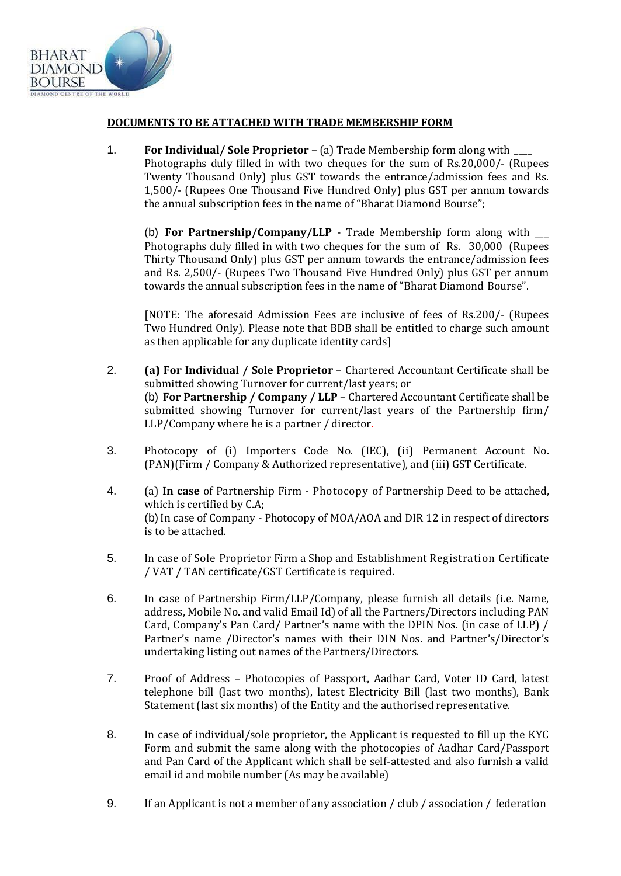

#### **DOCUMENTS TO BE ATTACHED WITH TRADE MEMBERSHIP FORM**

1. **For Individual/ Sole Proprietor** – (a) Trade Membership form along with \_\_\_\_ Photographs duly filled in with two cheques for the sum of Rs.20,000/- (Rupees Twenty Thousand Only) plus GST towards the entrance/admission fees and Rs. 1,500/- (Rupees One Thousand Five Hundred Only) plus GST per annum towards the annual subscription fees in the name of "Bharat Diamond Bourse";

(b) **For Partnership/Company/LLP** - Trade Membership form along with \_\_\_ Photographs duly filled in with two cheques for the sum of Rs. 30,000 (Rupees Thirty Thousand Only) plus GST per annum towards the entrance/admission fees and Rs. 2,500/- (Rupees Two Thousand Five Hundred Only) plus GST per annum towards the annual subscription fees in the name of "Bharat Diamond Bourse".

[NOTE: The aforesaid Admission Fees are inclusive of fees of Rs.200/- (Rupees Two Hundred Only). Please note that BDB shall be entitled to charge such amount as then applicable for any duplicate identity cards]

- 2. **(a) For Individual / Sole Proprietor**  Chartered Accountant Certificate shall be submitted showing Turnover for current/last years; or (b) **For Partnership / Company / LLP** – Chartered Accountant Certificate shall be submitted showing Turnover for current/last years of the Partnership firm/ LLP/Company where he is a partner / director.
- 3. Photocopy of (i) Importers Code No. (IEC), (ii) Permanent Account No. (PAN)(Firm / Company & Authorized representative), and (iii) GST Certificate.
- 4. (a) **In case** of Partnership Firm Photocopy of Partnership Deed to be attached, which is certified by C.A; (b) In case of Company - Photocopy of MOA/AOA and DIR 12 in respect of directors is to be attached.
- 5. In case of Sole Proprietor Firm a Shop and Establishment Registration Certificate / VAT / TAN certificate/GST Certificate is required.
- 6. In case of Partnership Firm/LLP/Company, please furnish all details (i.e. Name, address, Mobile No. and valid Email Id) of all the Partners/Directors including PAN Card, Company's Pan Card/ Partner's name with the DPIN Nos. (in case of LLP) / Partner's name /Director's names with their DIN Nos. and Partner's/Director's undertaking listing out names of the Partners/Directors.
- 7. Proof of Address Photocopies of Passport, Aadhar Card, Voter ID Card, latest telephone bill (last two months), latest Electricity Bill (last two months), Bank Statement (last six months) of the Entity and the authorised representative.
- 8. In case of individual/sole proprietor, the Applicant is requested to fill up the KYC Form and submit the same along with the photocopies of Aadhar Card/Passport and Pan Card of the Applicant which shall be self-attested and also furnish a valid email id and mobile number (As may be available)
- 9. If an Applicant is not a member of any association / club / association / federation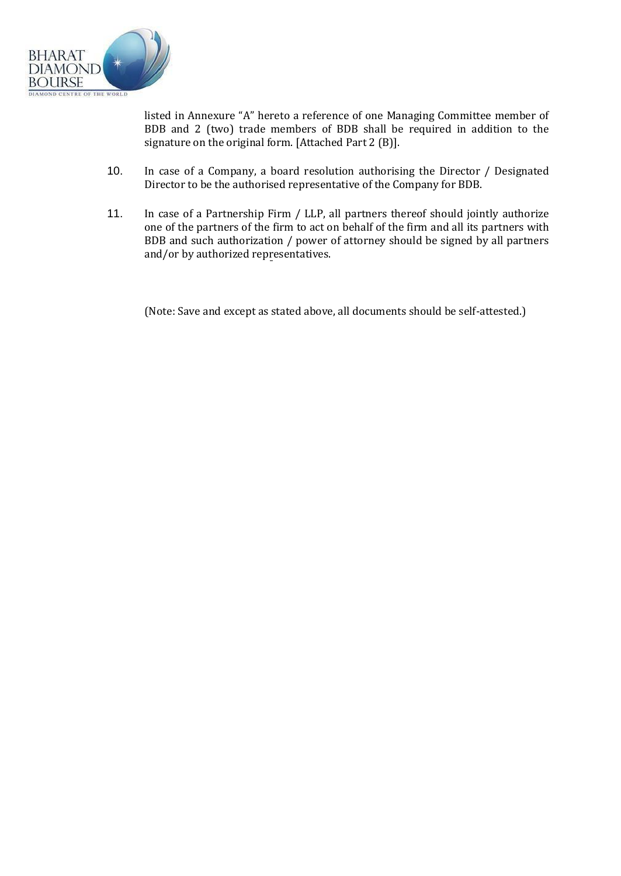

listed in Annexure "A" hereto a reference of one Managing Committee member of BDB and 2 (two) trade members of BDB shall be required in addition to the signature on the original form. [Attached Part 2 (B)].

- 10. In case of a Company, a board resolution authorising the Director / Designated Director to be the authorised representative of the Company for BDB.
- 11. In case of a Partnership Firm / LLP, all partners thereof should jointly authorize one of the partners of the firm to act on behalf of the firm and all its partners with BDB and such authorization / power of attorney should be signed by all partners and/or by authorized representatives.

(Note: Save and except as stated above, all documents should be self-attested.)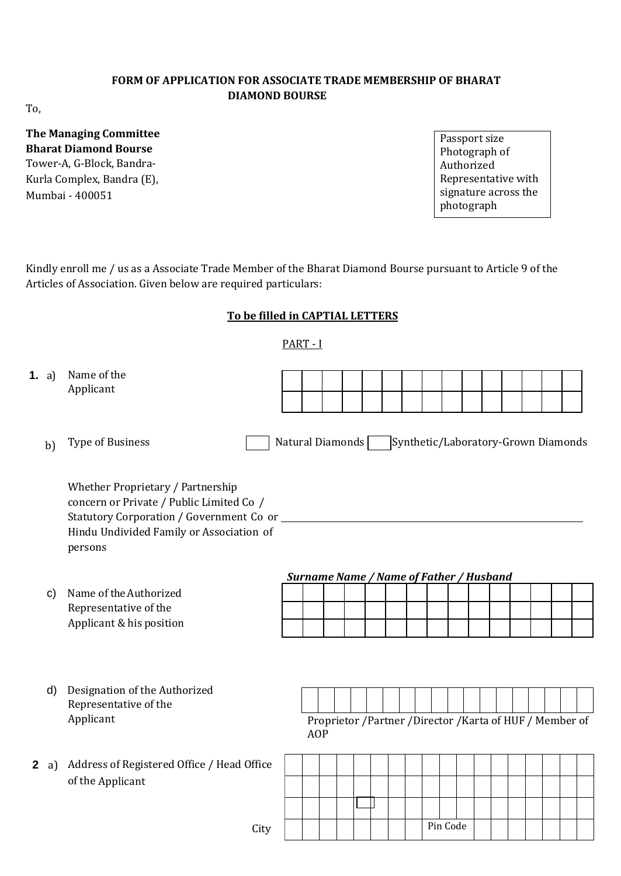## **FORM OF APPLICATION FOR ASSOCIATE TRADE MEMBERSHIP OF BHARAT DIAMOND BOURSE**

To,

# **The Managing Committee Bharat Diamond Bourse** Tower-A, G-Block, Bandra-Kurla Complex, Bandra (E), Mumbai - 400051

Passport size Photograph of Authorized Representative with signature across the photograph

Kindly enroll me / us as a Associate Trade Member of the Bharat Diamond Bourse pursuant to Article 9 of the Articles of Association. Given below are required particulars:

# **To be filled in CAPTIAL LETTERS**

## PART - I

| <b>1.</b> a) | Name of the<br>Applicant                                                                                                                                                           |                  |                                                |  |  |  |          |  |  |                                                         |  |
|--------------|------------------------------------------------------------------------------------------------------------------------------------------------------------------------------------|------------------|------------------------------------------------|--|--|--|----------|--|--|---------------------------------------------------------|--|
| b)           | Type of Business                                                                                                                                                                   | Natural Diamonds |                                                |  |  |  |          |  |  | Synthetic/Laboratory-Grown Diamonds                     |  |
|              | Whether Proprietary / Partnership<br>concern or Private / Public Limited Co /<br>Statutory Corporation / Government Co or _<br>Hindu Undivided Family or Association of<br>persons |                  |                                                |  |  |  |          |  |  |                                                         |  |
|              |                                                                                                                                                                                    |                  | <b>Surname Name / Name of Father / Husband</b> |  |  |  |          |  |  |                                                         |  |
| $\mathsf{c}$ | Name of the Authorized                                                                                                                                                             |                  |                                                |  |  |  |          |  |  |                                                         |  |
|              | Representative of the<br>Applicant & his position                                                                                                                                  |                  |                                                |  |  |  |          |  |  |                                                         |  |
|              |                                                                                                                                                                                    |                  |                                                |  |  |  |          |  |  |                                                         |  |
| d)           | Designation of the Authorized<br>Representative of the                                                                                                                             |                  |                                                |  |  |  |          |  |  |                                                         |  |
|              | Applicant                                                                                                                                                                          |                  | <b>AOP</b>                                     |  |  |  |          |  |  | Proprietor /Partner /Director /Karta of HUF / Member of |  |
| 2 a)         | Address of Registered Office / Head Office                                                                                                                                         |                  |                                                |  |  |  |          |  |  |                                                         |  |
|              | of the Applicant                                                                                                                                                                   |                  |                                                |  |  |  |          |  |  |                                                         |  |
|              |                                                                                                                                                                                    |                  |                                                |  |  |  |          |  |  |                                                         |  |
|              | $C_{\rm ittr}$                                                                                                                                                                     |                  |                                                |  |  |  | Pin Code |  |  |                                                         |  |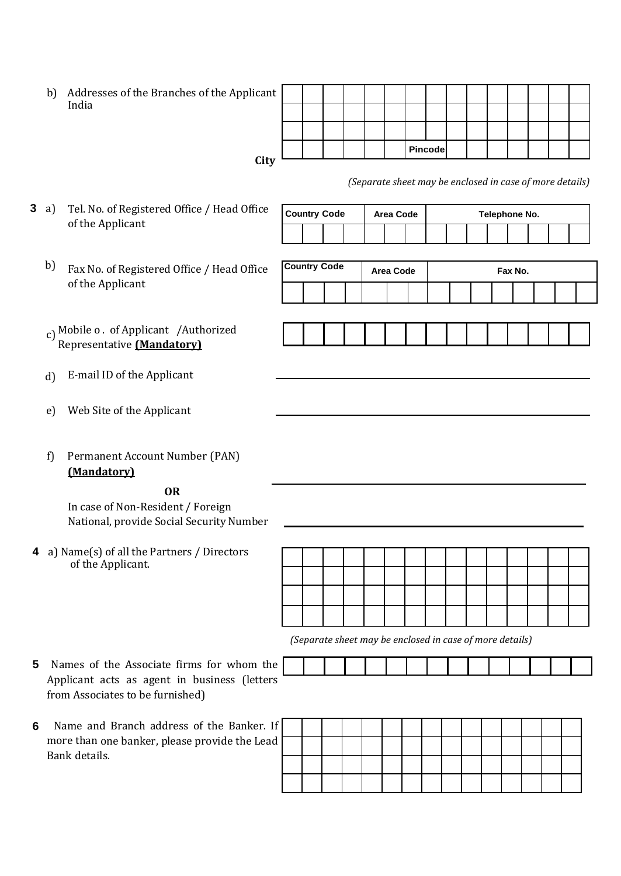b) Addresses of the Branches of the Applicant India

| icant |  |  |  |         |  |  |  |  |
|-------|--|--|--|---------|--|--|--|--|
|       |  |  |  |         |  |  |  |  |
|       |  |  |  |         |  |  |  |  |
|       |  |  |  | Pincode |  |  |  |  |
| City  |  |  |  |         |  |  |  |  |

*(Separate sheet may be enclosed in case of more details)*

- **3** a) Tel. No. of Registered Office / Head Office of the Applicant
	- b) Fax No. of Registered Office / Head Office of the Applicant
	- c) Mobile o . of Applicant /Authorized Representative **(Mandatory)**
	- d) E-mail ID of the Applicant
	- e) Web Site of the Applicant
	- f) Permanent Account Number (PAN) **(Mandatory)**

# **OR**

In case of Non-Resident / Foreign National, provide Social Security Number

- **4** a) Name(s) of all the Partners / Directors of the Applicant.
- **5** Names of the Associate firms for whom the Applicant acts as agent in business (letters from Associates to be furnished)
- **6** Name and Branch address of the Banker. If more than one banker, please provide the Lead Bank details.

| <b>Country Code</b> |  | Area Code |  |  |  | Telephone No. |  |  |  |  |  |
|---------------------|--|-----------|--|--|--|---------------|--|--|--|--|--|
|                     |  |           |  |  |  |               |  |  |  |  |  |
|                     |  |           |  |  |  |               |  |  |  |  |  |
| <b>Country Code</b> |  | Area Code |  |  |  | Fax No.       |  |  |  |  |  |
|                     |  |           |  |  |  |               |  |  |  |  |  |
|                     |  |           |  |  |  |               |  |  |  |  |  |
|                     |  |           |  |  |  |               |  |  |  |  |  |
|                     |  |           |  |  |  |               |  |  |  |  |  |
|                     |  |           |  |  |  |               |  |  |  |  |  |
|                     |  |           |  |  |  |               |  |  |  |  |  |
|                     |  |           |  |  |  |               |  |  |  |  |  |
|                     |  |           |  |  |  |               |  |  |  |  |  |
|                     |  |           |  |  |  |               |  |  |  |  |  |
|                     |  |           |  |  |  |               |  |  |  |  |  |
|                     |  |           |  |  |  |               |  |  |  |  |  |
|                     |  |           |  |  |  |               |  |  |  |  |  |
|                     |  |           |  |  |  |               |  |  |  |  |  |
|                     |  |           |  |  |  |               |  |  |  |  |  |
|                     |  |           |  |  |  |               |  |  |  |  |  |

 *(Separate sheet may be enclosed in case of more details)*

| ÷ |  |  |  |  |  |  |  |  |
|---|--|--|--|--|--|--|--|--|
|   |  |  |  |  |  |  |  |  |
|   |  |  |  |  |  |  |  |  |
|   |  |  |  |  |  |  |  |  |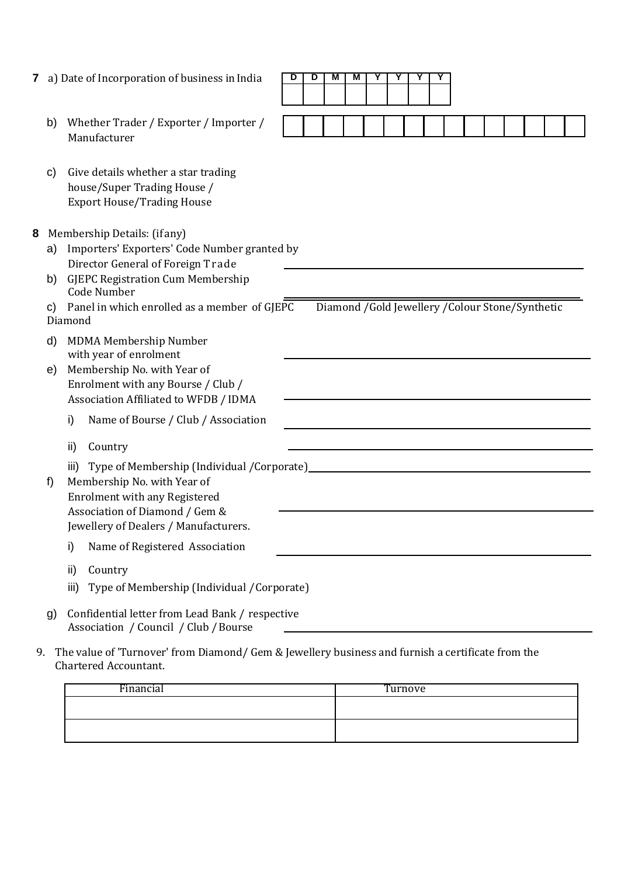| b) | Whether Trader / Exporter / Importer / |
|----|----------------------------------------|
|    | Manufacturer                           |

| C) | Give details whether a star trading |
|----|-------------------------------------|
|    | house/Super Trading House /         |
|    | <b>Export House/Trading House</b>   |

| 8<br>Membership Details: (if any) |  |
|-----------------------------------|--|
|-----------------------------------|--|

|    | Membership Details: (if any)                                                                               |
|----|------------------------------------------------------------------------------------------------------------|
| a) | Importers' Exporters' Code Number granted by                                                               |
|    | Director General of Foreign Trade                                                                          |
| b) | <b>GJEPC Registration Cum Membership</b><br><b>Code Number</b>                                             |
| C) | Diamond /Gold Jewellery /Colour Stone/Synthetic<br>Panel in which enrolled as a member of GJEPC<br>Diamond |
| d) | <b>MDMA Membership Number</b><br>with year of enrolment                                                    |
| e) | Membership No. with Year of                                                                                |
|    | Enrolment with any Bourse / Club /                                                                         |
|    | Association Affiliated to WFDB / IDMA                                                                      |
|    | i)<br>Name of Bourse / Club / Association                                                                  |
|    | ii)<br>Country                                                                                             |
|    | Type of Membership (Individual /Corporate)_<br>iii)                                                        |
| f) | Membership No. with Year of                                                                                |
|    | <b>Enrolment with any Registered</b>                                                                       |
|    | Association of Diamond / Gem &                                                                             |
|    | Jewellery of Dealers / Manufacturers.                                                                      |
|    | Name of Registered Association<br>i)                                                                       |
|    | ii)<br>Country                                                                                             |
|    | Type of Membership (Individual / Corporate)<br>iii)                                                        |
| g) | Confidential letter from Lead Bank / respective<br>Association / Council / Club / Bourse                   |

9. The value of 'Turnover' from Diamond/ Gem & Jewellery business and furnish a certificate from the Chartered Accountant.

| Financial | Turnove |
|-----------|---------|
|           |         |
|           |         |

| υ | M<br>M | M | $\overline{\phantom{a}}$ | v | $\cdot$ | ī |  |  |  |  |
|---|--------|---|--------------------------|---|---------|---|--|--|--|--|
|   |        |   |                          |   |         |   |  |  |  |  |
|   |        |   |                          |   |         |   |  |  |  |  |
|   |        |   |                          |   |         |   |  |  |  |  |
|   |        |   |                          |   |         |   |  |  |  |  |
|   |        |   |                          |   |         |   |  |  |  |  |

 $\overline{\phantom{0}}$ 

 $\overline{\phantom{a}}$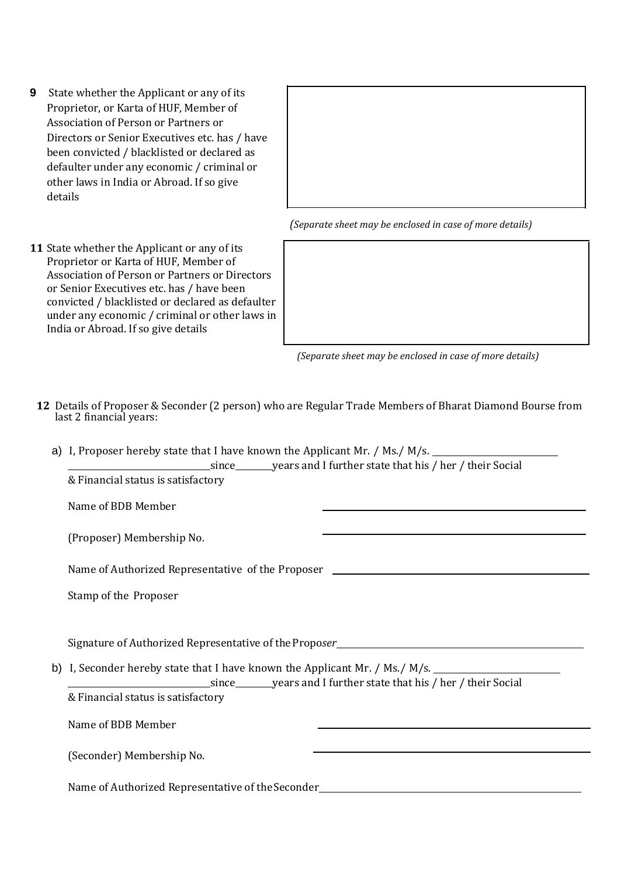- **9** State whether the Applicant or any of its Proprietor, or Karta of HUF, Member of Association of Person or Partners or Directors or Senior Executives etc. has / have been convicted / blacklisted or declared as defaulter under any economic / criminal or other laws in India or Abroad. If so give details
- **11** State whether the Applicant or any of its Proprietor or Karta of HUF, Member of Association of Person or Partners or Directors or Senior Executives etc. has / have been convicted / blacklisted or declared as defaulter under any economic / criminal or other laws in India or Abroad. If so give details





 *(Separate sheet may be enclosed in case of more details)*

- **12** Details of Proposer & Seconder (2 person) who are Regular Trade Members of Bharat Diamond Bourse from last 2 financial years:
	- a) I, Proposer hereby state that I have known the Applicant Mr. / Ms./ M/s.

| & Financial status is satisfactory                                                                   |                                                                                           |
|------------------------------------------------------------------------------------------------------|-------------------------------------------------------------------------------------------|
| Name of BDB Member                                                                                   | the control of the control of the control of the control of the control of the control of |
| (Proposer) Membership No.                                                                            |                                                                                           |
| Name of Authorized Representative of the Proposer ______________________________                     |                                                                                           |
| Stamp of the Proposer                                                                                |                                                                                           |
| Signature of Authorized Representative of the Proposer___________________________                    |                                                                                           |
| b) I, Seconder hereby state that I have known the Applicant Mr. / Ms./ M/s. ________________________ |                                                                                           |
| & Financial status is satisfactory                                                                   |                                                                                           |
| Name of BDB Member                                                                                   |                                                                                           |
| (Seconder) Membership No.                                                                            |                                                                                           |
| Name of Authorized Representative of the Seconder_______________________________                     |                                                                                           |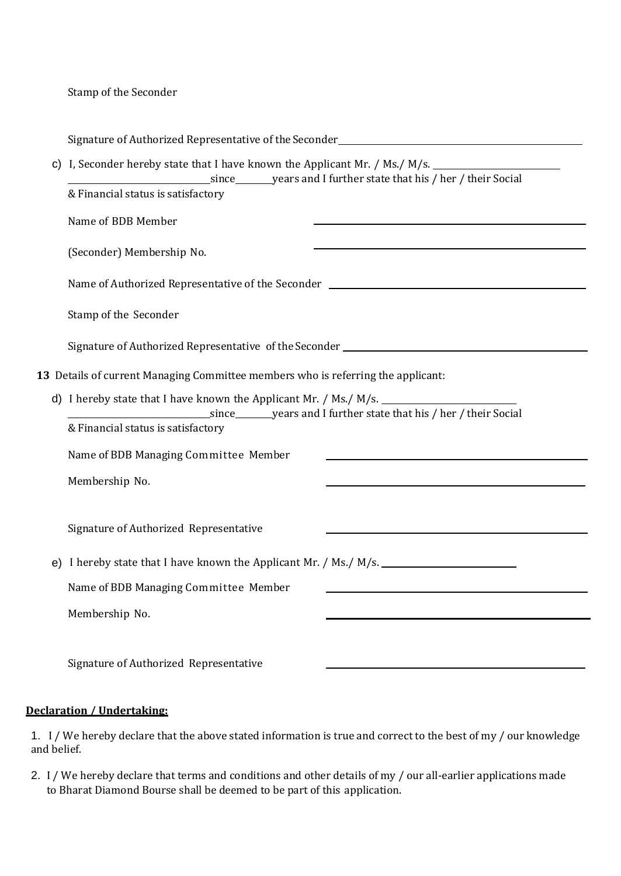Stamp of the Seconder

| C) | I, Seconder hereby state that I have known the Applicant Mr. / Ms./ M/s.<br>since __________ years and I further state that his / her / their Social |  |  |  |  |  |  |  |  |  |
|----|------------------------------------------------------------------------------------------------------------------------------------------------------|--|--|--|--|--|--|--|--|--|
|    | & Financial status is satisfactory                                                                                                                   |  |  |  |  |  |  |  |  |  |
|    | Name of BDB Member                                                                                                                                   |  |  |  |  |  |  |  |  |  |
|    | (Seconder) Membership No.                                                                                                                            |  |  |  |  |  |  |  |  |  |
|    | Name of Authorized Representative of the Seconder ______________________________                                                                     |  |  |  |  |  |  |  |  |  |
|    | Stamp of the Seconder                                                                                                                                |  |  |  |  |  |  |  |  |  |
|    |                                                                                                                                                      |  |  |  |  |  |  |  |  |  |
|    | 13 Details of current Managing Committee members who is referring the applicant:                                                                     |  |  |  |  |  |  |  |  |  |
|    | d) I hereby state that I have known the Applicant Mr. / Ms./ M/s.                                                                                    |  |  |  |  |  |  |  |  |  |
|    | & Financial status is satisfactory                                                                                                                   |  |  |  |  |  |  |  |  |  |
|    | Name of BDB Managing Committee Member                                                                                                                |  |  |  |  |  |  |  |  |  |
|    | Membership No.                                                                                                                                       |  |  |  |  |  |  |  |  |  |
|    | Signature of Authorized Representative                                                                                                               |  |  |  |  |  |  |  |  |  |
|    |                                                                                                                                                      |  |  |  |  |  |  |  |  |  |
|    | Name of BDB Managing Committee Member                                                                                                                |  |  |  |  |  |  |  |  |  |
|    | Membership No.                                                                                                                                       |  |  |  |  |  |  |  |  |  |
|    | Signature of Authorized Representative                                                                                                               |  |  |  |  |  |  |  |  |  |

## **Declaration / Undertaking:**

1. I / We hereby declare that the above stated information is true and correct to the best of my / our knowledge and belief.

2. I / We hereby declare that terms and conditions and other details of my / our all-earlier applications made to Bharat Diamond Bourse shall be deemed to be part of this application.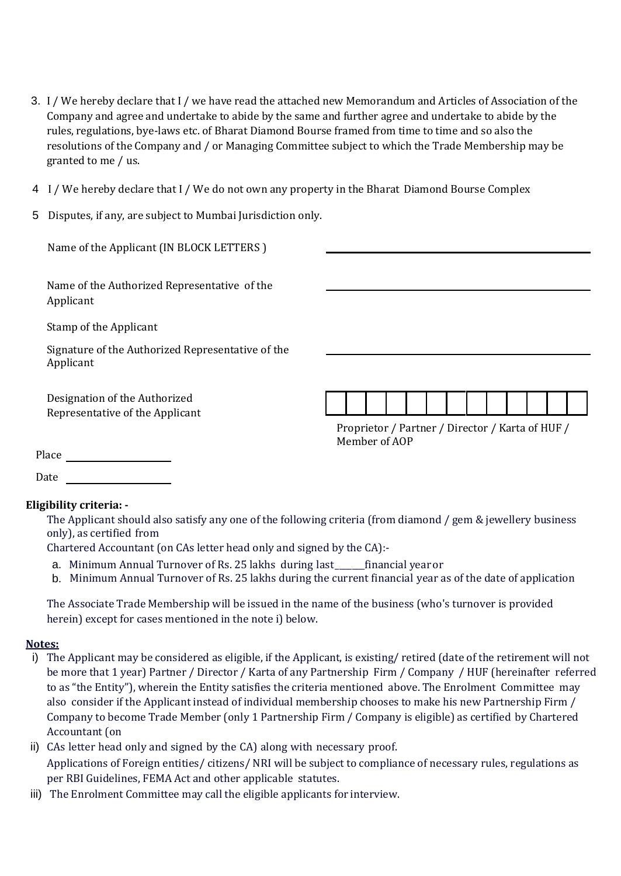- 3. I / We hereby declare that I / we have read the attached new Memorandum and Articles of Association of the Company and agree and undertake to abide by the same and further agree and undertake to abide by the rules, regulations, bye-laws etc. of Bharat Diamond Bourse framed from time to time and so also the resolutions of the Company and / or Managing Committee subject to which the Trade Membership may be granted to me / us.
- 4 I / We hereby declare that I / We do not own any property in the Bharat Diamond Bourse Complex
- 5 Disputes, if any, are subject to Mumbai Jurisdiction only.

| Name of the Applicant (IN BLOCK LETTERS)                         |                                                                   |
|------------------------------------------------------------------|-------------------------------------------------------------------|
| Name of the Authorized Representative of the<br>Applicant        |                                                                   |
| Stamp of the Applicant                                           |                                                                   |
| Signature of the Authorized Representative of the<br>Applicant   |                                                                   |
| Designation of the Authorized<br>Representative of the Applicant |                                                                   |
|                                                                  | Proprietor / Partner / Director / Karta of HUF /<br>Member of AOP |
| Place                                                            |                                                                   |
| Date                                                             |                                                                   |

## **Eligibility criteria: -**

The Applicant should also satisfy any one of the following criteria (from diamond / gem & jewellery business only), as certified from

Chartered Accountant (on CAs letter head only and signed by the CA):-

- a. Minimum Annual Turnover of Rs. 25 lakhs during last\_\_\_\_\_\_\_financial yearor
- b. Minimum Annual Turnover of Rs. 25 lakhs during the current financial year as of the date of application

The Associate Trade Membership will be issued in the name of the business (who's turnover is provided herein) except for cases mentioned in the note i) below.

## **Notes:**

- i) The Applicant may be considered as eligible, if the Applicant, is existing/ retired (date of the retirement will not be more that 1 year) Partner / Director / Karta of any Partnership Firm / Company / HUF (hereinafter referred to as "the Entity"), wherein the Entity satisfies the criteria mentioned above. The Enrolment Committee may also consider if the Applicant instead of individual membership chooses to make his new Partnership Firm / Company to become Trade Member (only 1 Partnership Firm / Company is eligible) as certified by Chartered Accountant (on
- ii) CAs letter head only and signed by the CA) along with necessary proof. Applications of Foreign entities/ citizens/ NRI will be subject to compliance of necessary rules, regulations as per RBI Guidelines, FEMA Act and other applicable statutes.
- iii) The Enrolment Committee may call the eligible applicants for interview.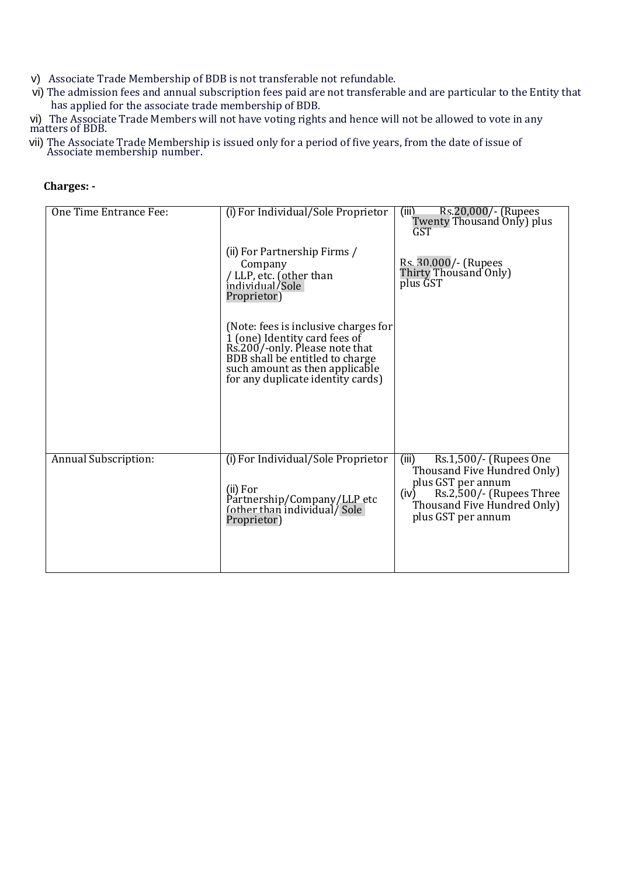- v) Associate Trade Membership of BDB is not transferable not refundable.
- vi) The admission fees and annual subscription fees paid are not transferable and are particular to the Entity that has applied for the associate trade membership of BDB.

vi) The Associate Trade Members will not have voting rights and hence will not be allowed to vote in any matters of BDB.

vii) The Associate Trade Membership is issued only for a period of five years, from the date of issue of Associate membership number.

| One Time Entrance Fee: | (i) For Individual/Sole Proprietor                                                                                                                                                                                | ) Rs.20,000/- (Rupees<br>Twenty Thousand Only) plus<br>(iii)<br>GST                                                                                                           |
|------------------------|-------------------------------------------------------------------------------------------------------------------------------------------------------------------------------------------------------------------|-------------------------------------------------------------------------------------------------------------------------------------------------------------------------------|
|                        | (ii) For Partnership Firms /<br>Company<br>/ LLP, etc. (other than<br>individual/Sole<br>Proprietor)                                                                                                              | Rs. 30,000/- (Rupees<br>Thirty Thousand Only)<br>plus GST                                                                                                                     |
|                        | (Note: fees is inclusive charges for<br>I (one) Identity card fees of<br>Rs.200/-only. Please note that<br>BDB shall be entitled to charge<br>such amount as then applicable<br>for any duplicate identity cards) |                                                                                                                                                                               |
|                        |                                                                                                                                                                                                                   |                                                                                                                                                                               |
| Annual Subscription:   | (i) For Individual/Sole Proprietor<br>(ii) For<br>Partnership/Company/LLP etc<br>fother than individual/ Sole<br>Proprietor)                                                                                      | Rs.1,500/- (Rupees One<br>(iii)<br>Thousand Five Hundred Only)<br>plus GST per annum<br>Rs.2,500/- (Rupees Three<br>(iv)<br>Thousand Five Hundred Only)<br>plus GST per annum |
|                        |                                                                                                                                                                                                                   |                                                                                                                                                                               |

#### **Charges: -**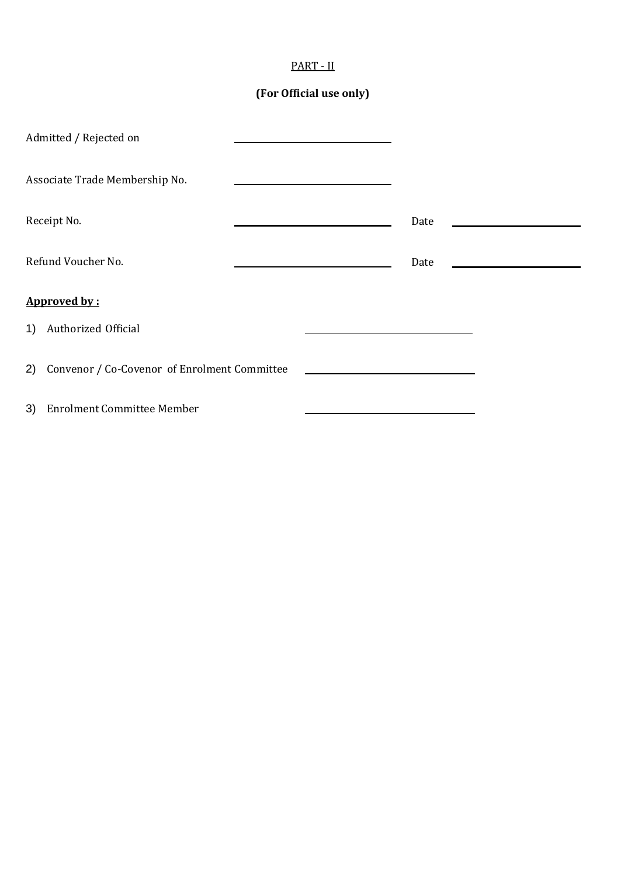|--|

# **(For Official use only)**

|                    | Admitted / Rejected on                          |      |                                                        |
|--------------------|-------------------------------------------------|------|--------------------------------------------------------|
|                    | Associate Trade Membership No.                  |      |                                                        |
| Receipt No.        |                                                 | Date | <u> 1980 - Jan Jawa Barat, prima politik politik (</u> |
| Refund Voucher No. |                                                 | Date |                                                        |
|                    | Approved by:                                    |      |                                                        |
| 1)                 | Authorized Official                             |      |                                                        |
|                    | 2) Convenor / Co-Covenor of Enrolment Committee |      |                                                        |
| 3)                 | <b>Enrolment Committee Member</b>               |      |                                                        |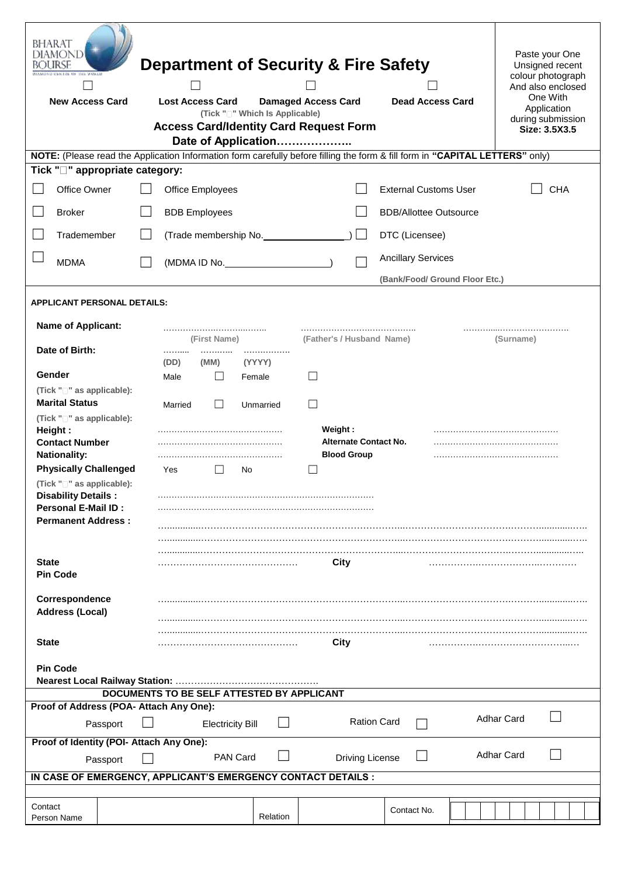| BHARAT<br>DIAMOND<br>BOURSE<br><b>HAMOND CENTRE OF THE WORLD</b><br><b>New Access Card</b>                                   |  |  | <b>Lost Access Card</b><br><b>Access Card/Identity Card Request Form</b> |                         |        | <b>Damaged Access Card</b><br>(Tick " <sup>"</sup> Which Is Applicable) |              |         |                              | <b>Department of Security &amp; Fire Safety</b><br><b>Dead Access Card</b> |                   | Paste your One<br>Unsigned recent<br>colour photograph<br>And also enclosed<br>One With<br>Application<br>during submission<br>Size: 3.5X3.5 |
|------------------------------------------------------------------------------------------------------------------------------|--|--|--------------------------------------------------------------------------|-------------------------|--------|-------------------------------------------------------------------------|--------------|---------|------------------------------|----------------------------------------------------------------------------|-------------------|----------------------------------------------------------------------------------------------------------------------------------------------|
|                                                                                                                              |  |  |                                                                          |                         |        | Date of Application                                                     |              |         |                              |                                                                            |                   |                                                                                                                                              |
| NOTE: (Please read the Application Information form carefully before filling the form & fill form in "CAPITAL LETTERS" only) |  |  |                                                                          |                         |        |                                                                         |              |         |                              |                                                                            |                   |                                                                                                                                              |
| Tick "□" appropriate category:                                                                                               |  |  |                                                                          |                         |        |                                                                         |              |         |                              |                                                                            |                   |                                                                                                                                              |
| Office Owner                                                                                                                 |  |  |                                                                          | Office Employees        |        |                                                                         |              |         |                              | <b>External Customs User</b>                                               |                   | <b>CHA</b>                                                                                                                                   |
| <b>Broker</b>                                                                                                                |  |  |                                                                          | <b>BDB</b> Employees    |        |                                                                         |              |         |                              | <b>BDB/Allottee Outsource</b>                                              |                   |                                                                                                                                              |
| Trademember                                                                                                                  |  |  |                                                                          |                         |        | (Trade membership No.                                                   |              |         | $\sim$                       | DTC (Licensee)                                                             |                   |                                                                                                                                              |
| <b>MDMA</b>                                                                                                                  |  |  |                                                                          | (MDMA ID No.            |        |                                                                         |              |         |                              | <b>Ancillary Services</b>                                                  |                   |                                                                                                                                              |
|                                                                                                                              |  |  |                                                                          |                         |        |                                                                         |              |         |                              | (Bank/Food/ Ground Floor Etc.)                                             |                   |                                                                                                                                              |
| <b>APPLICANT PERSONAL DETAILS:</b>                                                                                           |  |  |                                                                          |                         |        |                                                                         |              |         |                              |                                                                            |                   |                                                                                                                                              |
|                                                                                                                              |  |  |                                                                          |                         |        |                                                                         |              |         |                              |                                                                            |                   |                                                                                                                                              |
| <b>Name of Applicant:</b>                                                                                                    |  |  |                                                                          |                         |        |                                                                         |              |         |                              |                                                                            |                   |                                                                                                                                              |
| Date of Birth:                                                                                                               |  |  | .                                                                        | (First Name)<br>        |        | .                                                                       |              |         |                              | (Father's / Husband Name)                                                  | (Surname)         |                                                                                                                                              |
|                                                                                                                              |  |  | (DD)                                                                     | (MM)                    |        | (YYYY)                                                                  |              |         |                              |                                                                            |                   |                                                                                                                                              |
| Gender                                                                                                                       |  |  | Male                                                                     |                         | Female |                                                                         | $\mathsf{L}$ |         |                              |                                                                            |                   |                                                                                                                                              |
| (Tick "□" as applicable):                                                                                                    |  |  |                                                                          |                         |        |                                                                         |              |         |                              |                                                                            |                   |                                                                                                                                              |
| <b>Marital Status</b>                                                                                                        |  |  | Married                                                                  | $\Box$                  |        | Unmarried                                                               | $\mathbf{I}$ |         |                              |                                                                            |                   |                                                                                                                                              |
| (Tick "□" as applicable):<br>Height:                                                                                         |  |  |                                                                          |                         |        |                                                                         |              | Weight: |                              |                                                                            |                   |                                                                                                                                              |
| <b>Contact Number</b>                                                                                                        |  |  |                                                                          |                         |        |                                                                         |              |         | <b>Alternate Contact No.</b> |                                                                            |                   |                                                                                                                                              |
| <b>Nationality:</b>                                                                                                          |  |  |                                                                          |                         |        |                                                                         |              |         | <b>Blood Group</b>           |                                                                            |                   |                                                                                                                                              |
| <b>Physically Challenged</b>                                                                                                 |  |  | Yes                                                                      |                         | No     |                                                                         |              |         |                              |                                                                            |                   |                                                                                                                                              |
| (Tick " <sup>-</sup> as applicable):<br><b>Disability Details:</b><br><b>Personal E-Mail ID:</b>                             |  |  |                                                                          |                         |        |                                                                         |              |         |                              |                                                                            |                   |                                                                                                                                              |
| <b>Permanent Address:</b>                                                                                                    |  |  |                                                                          |                         |        |                                                                         |              |         |                              |                                                                            |                   |                                                                                                                                              |
|                                                                                                                              |  |  |                                                                          |                         |        |                                                                         |              |         |                              |                                                                            |                   |                                                                                                                                              |
|                                                                                                                              |  |  |                                                                          |                         |        |                                                                         |              |         |                              |                                                                            |                   |                                                                                                                                              |
| State<br><b>Pin Code</b>                                                                                                     |  |  |                                                                          |                         |        |                                                                         |              | City    |                              |                                                                            |                   |                                                                                                                                              |
|                                                                                                                              |  |  |                                                                          |                         |        |                                                                         |              |         |                              |                                                                            |                   |                                                                                                                                              |
| Correspondence<br><b>Address (Local)</b>                                                                                     |  |  |                                                                          |                         |        |                                                                         |              |         |                              |                                                                            |                   |                                                                                                                                              |
|                                                                                                                              |  |  |                                                                          |                         |        |                                                                         |              |         |                              |                                                                            |                   |                                                                                                                                              |
| <b>State</b>                                                                                                                 |  |  |                                                                          |                         |        |                                                                         |              | City    |                              |                                                                            |                   |                                                                                                                                              |
| <b>Pin Code</b>                                                                                                              |  |  |                                                                          |                         |        |                                                                         |              |         |                              |                                                                            |                   |                                                                                                                                              |
| DOCUMENTS TO BE SELF ATTESTED BY APPLICANT                                                                                   |  |  |                                                                          |                         |        |                                                                         |              |         |                              |                                                                            |                   |                                                                                                                                              |
| Proof of Address (POA- Attach Any One):                                                                                      |  |  |                                                                          |                         |        |                                                                         |              |         |                              |                                                                            |                   |                                                                                                                                              |
| Passport                                                                                                                     |  |  |                                                                          | <b>Electricity Bill</b> |        |                                                                         |              |         | <b>Ration Card</b>           |                                                                            | <b>Adhar Card</b> |                                                                                                                                              |
| Proof of Identity (POI- Attach Any One):                                                                                     |  |  |                                                                          |                         |        |                                                                         |              |         |                              |                                                                            |                   |                                                                                                                                              |
| <b>Adhar Card</b><br><b>PAN Card</b><br><b>Driving License</b><br>Passport                                                   |  |  |                                                                          |                         |        |                                                                         |              |         |                              |                                                                            |                   |                                                                                                                                              |
| IN CASE OF EMERGENCY, APPLICANT'S EMERGENCY CONTACT DETAILS :                                                                |  |  |                                                                          |                         |        |                                                                         |              |         |                              |                                                                            |                   |                                                                                                                                              |
|                                                                                                                              |  |  |                                                                          |                         |        |                                                                         |              |         |                              |                                                                            |                   |                                                                                                                                              |
| Contact<br>Person Name                                                                                                       |  |  |                                                                          |                         |        | Relation                                                                |              |         |                              | Contact No.                                                                |                   |                                                                                                                                              |